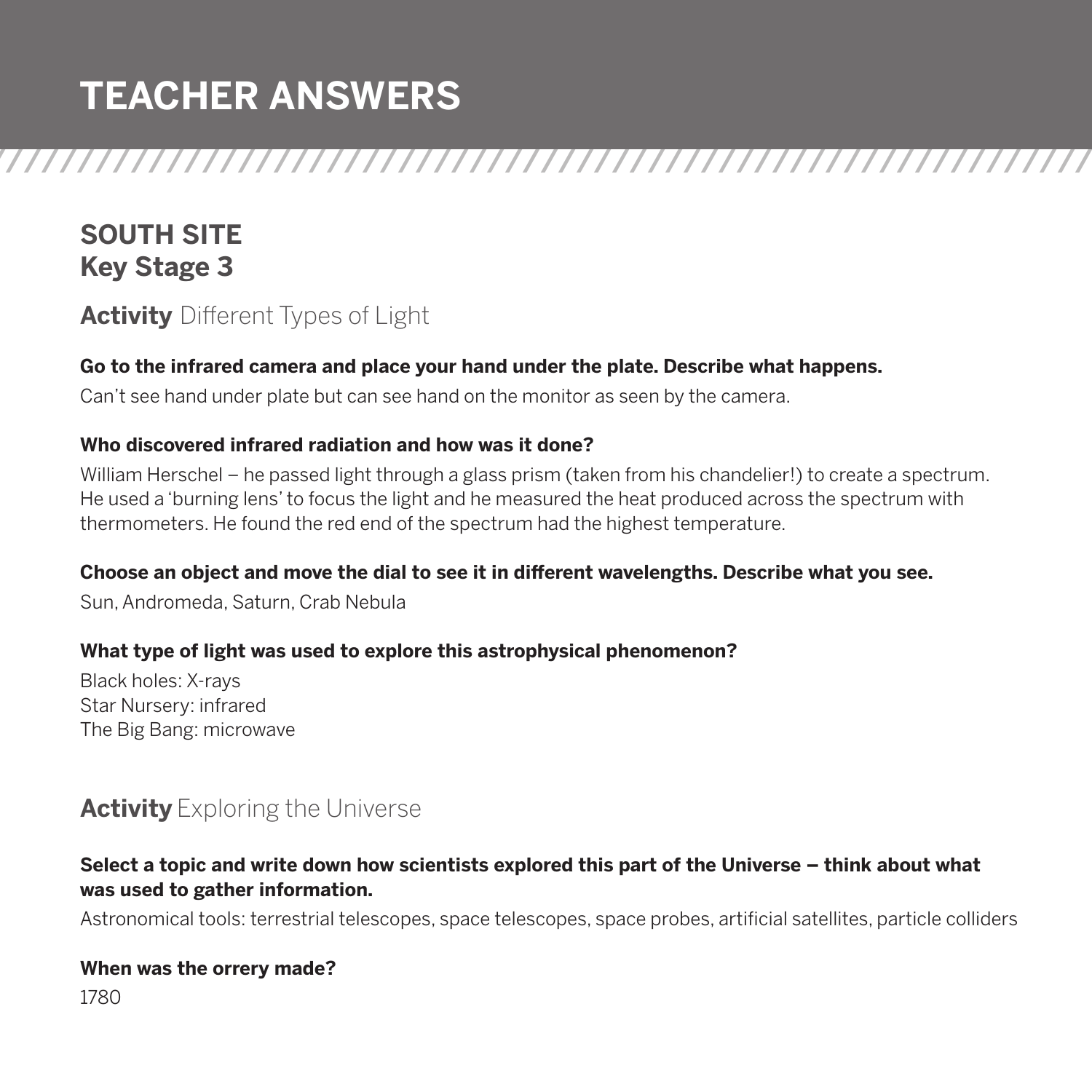/////////////////////////////////////////////////////////////////// **TEACHER ANSWERS**

# **SOUTH SITE Key Stage 3**

# **Activity** Different Types of Light

#### **Go to the infrared camera and place your hand under the plate. Describe what happens.**

Can't see hand under plate but can see hand on the monitor as seen by the camera.

#### **Who discovered infrared radiation and how was it done?**

William Herschel – he passed light through a glass prism (taken from his chandelier!) to create a spectrum. He used a 'burning lens' to focus the light and he measured the heat produced across the spectrum with thermometers. He found the red end of the spectrum had the highest temperature.

#### **Choose an object and move the dial to see it in different wavelengths. Describe what you see.**

Sun, Andromeda, Saturn, Crab Nebula

#### **What type of light was used to explore this astrophysical phenomenon?**

Black holes: X-rays Star Nursery: infrared The Big Bang: microwave

### **Activity** Exploring the Universe

#### **Select a topic and write down how scientists explored this part of the Universe – think about what was used to gather information.**

Astronomical tools: terrestrial telescopes, space telescopes, space probes, artificial satellites, particle colliders

#### **When was the orrery made?**

1780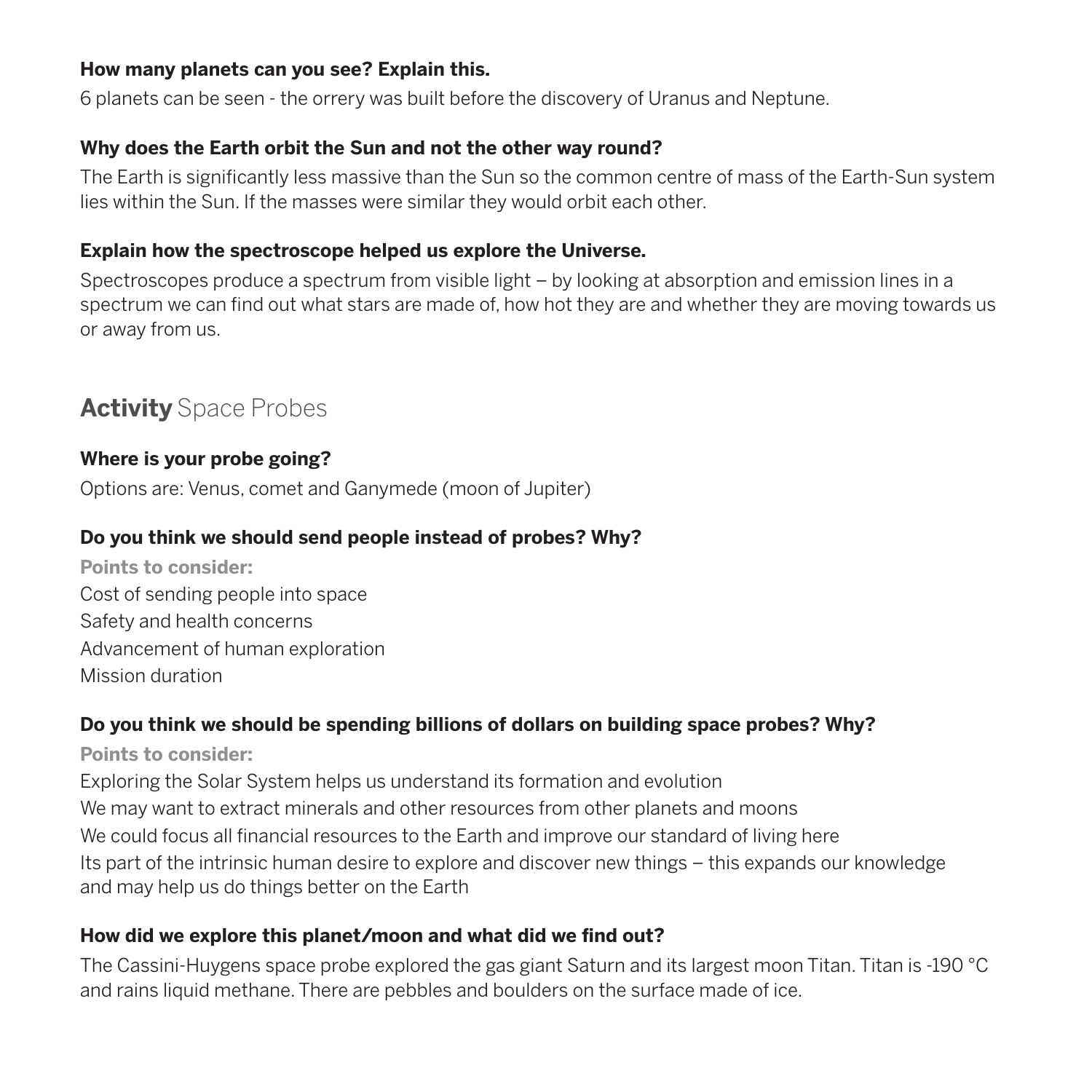#### **How many planets can you see? Explain this.**

6 planets can be seen - the orrery was built before the discovery of Uranus and Neptune.

#### **Why does the Earth orbit the Sun and not the other way round?**

The Earth is significantly less massive than the Sun so the common centre of mass of the Earth-Sun system lies within the Sun. If the masses were similar they would orbit each other.

#### **Explain how the spectroscope helped us explore the Universe.**

Spectroscopes produce a spectrum from visible light – by looking at absorption and emission lines in a spectrum we can find out what stars are made of, how hot they are and whether they are moving towards us or away from us.

# **Activity** Space Probes

#### **Where is your probe going?**

Options are: Venus, comet and Ganymede (moon of Jupiter)

#### **Do you think we should send people instead of probes? Why?**

**Points to consider:**  Cost of sending people into space Safety and health concerns Advancement of human exploration Mission duration

#### **Do you think we should be spending billions of dollars on building space probes? Why?**

**Points to consider:**

Exploring the Solar System helps us understand its formation and evolution We may want to extract minerals and other resources from other planets and moons We could focus all financial resources to the Earth and improve our standard of living here Its part of the intrinsic human desire to explore and discover new things – this expands our knowledge and may help us do things better on the Earth

#### **How did we explore this planet/moon and what did we find out?**

The Cassini-Huygens space probe explored the gas giant Saturn and its largest moon Titan. Titan is -190 °C and rains liquid methane. There are pebbles and boulders on the surface made of ice.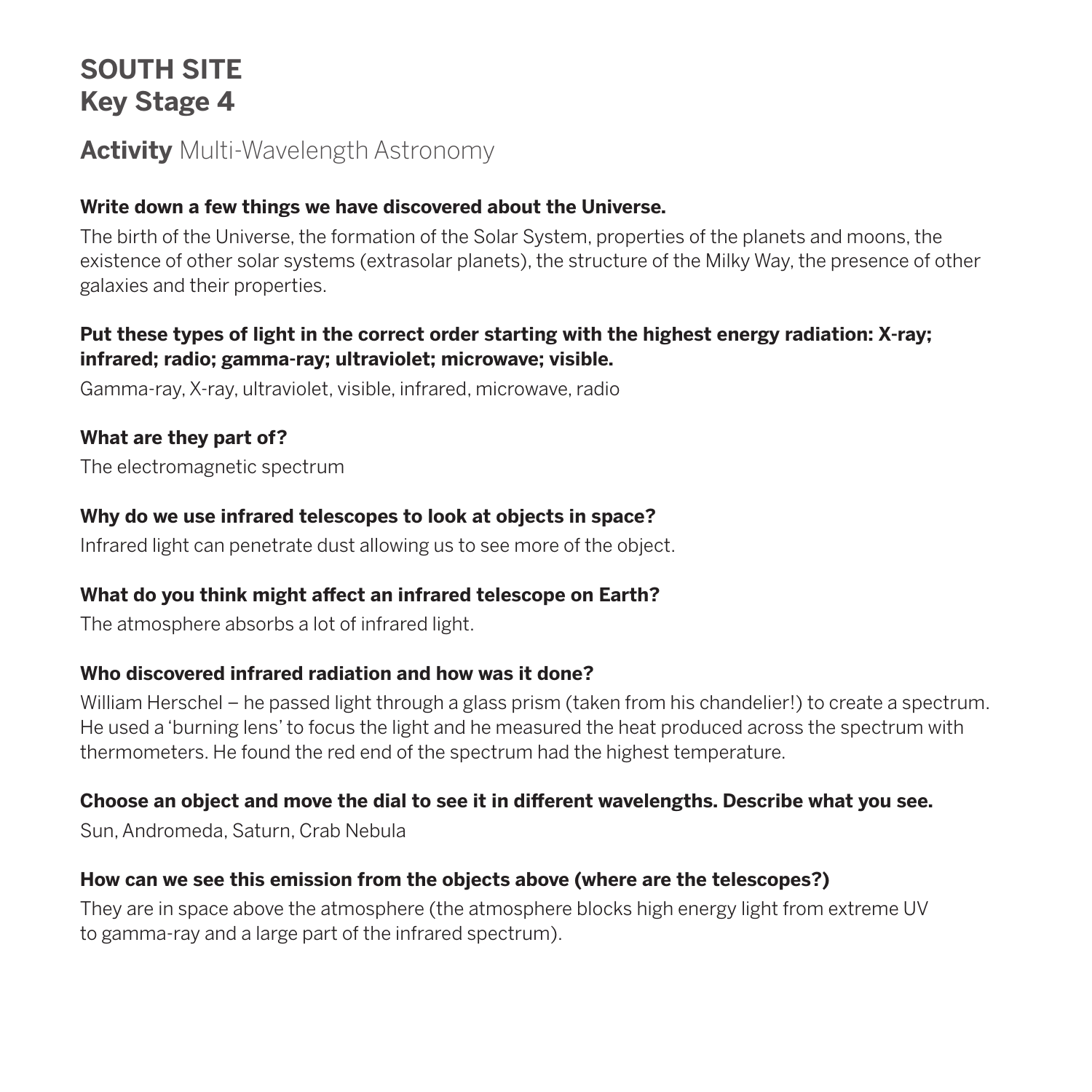# **SOUTH SITE Key Stage 4**

### **Activity** Multi-Wavelength Astronomy

#### **Write down a few things we have discovered about the Universe.**

The birth of the Universe, the formation of the Solar System, properties of the planets and moons, the existence of other solar systems (extrasolar planets), the structure of the Milky Way, the presence of other galaxies and their properties.

#### **Put these types of light in the correct order starting with the highest energy radiation: X-ray; infrared; radio; gamma-ray; ultraviolet; microwave; visible.**

Gamma-ray, X-ray, ultraviolet, visible, infrared, microwave, radio

#### **What are they part of?**

The electromagnetic spectrum

#### **Why do we use infrared telescopes to look at objects in space?**

Infrared light can penetrate dust allowing us to see more of the object.

#### **What do you think might affect an infrared telescope on Earth?**

The atmosphere absorbs a lot of infrared light.

#### **Who discovered infrared radiation and how was it done?**

William Herschel – he passed light through a glass prism (taken from his chandelier!) to create a spectrum. He used a 'burning lens' to focus the light and he measured the heat produced across the spectrum with thermometers. He found the red end of the spectrum had the highest temperature.

#### **Choose an object and move the dial to see it in different wavelengths. Describe what you see.**

Sun, Andromeda, Saturn, Crab Nebula

#### **How can we see this emission from the objects above (where are the telescopes?)**

They are in space above the atmosphere (the atmosphere blocks high energy light from extreme UV to gamma-ray and a large part of the infrared spectrum).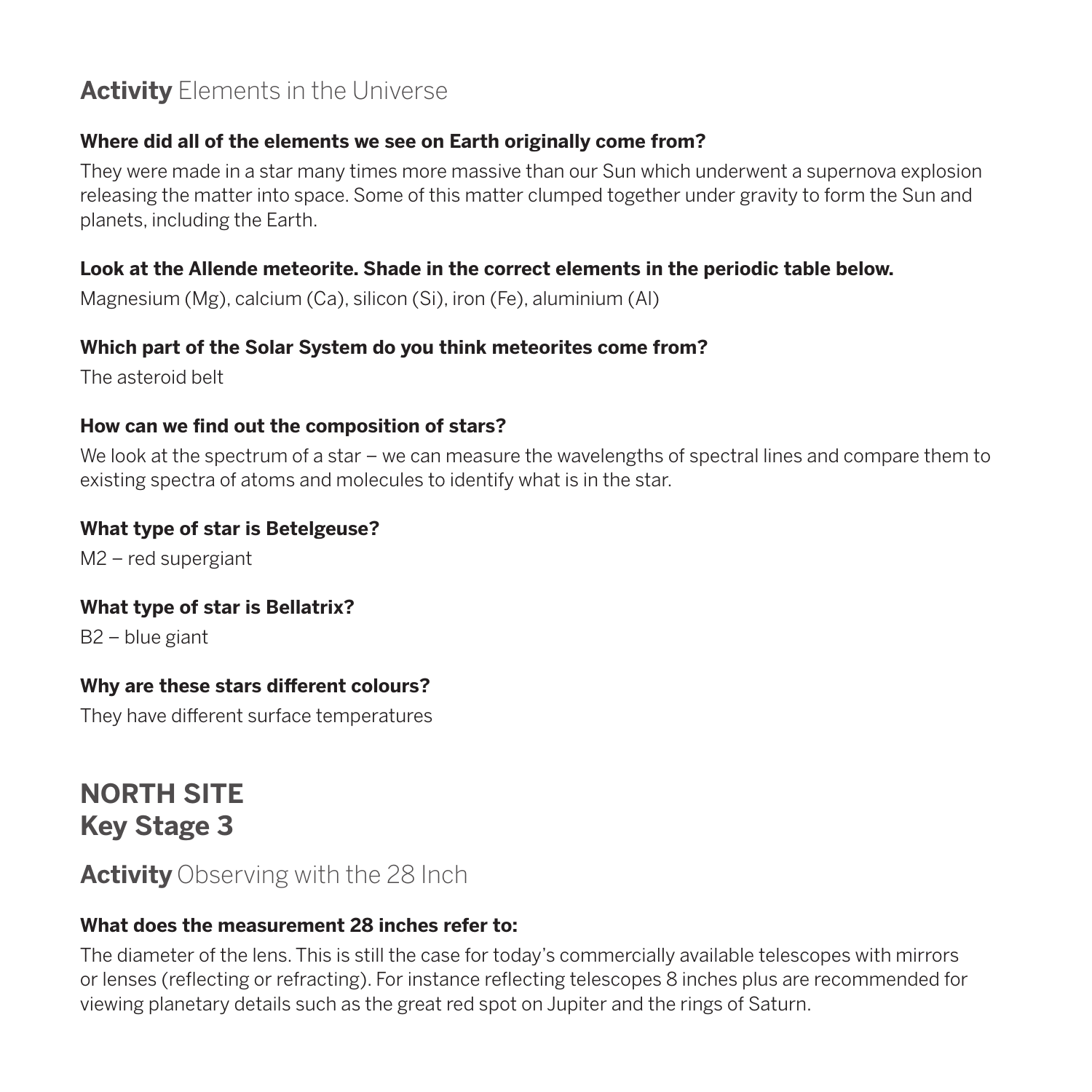# **Activity** Elements in the Universe

#### **Where did all of the elements we see on Earth originally come from?**

They were made in a star many times more massive than our Sun which underwent a supernova explosion releasing the matter into space. Some of this matter clumped together under gravity to form the Sun and planets, including the Earth.

#### **Look at the Allende meteorite. Shade in the correct elements in the periodic table below.**

Magnesium (Mg), calcium (Ca), silicon (Si), iron (Fe), aluminium (Al)

#### **Which part of the Solar System do you think meteorites come from?**

The asteroid belt

#### **How can we find out the composition of stars?**

We look at the spectrum of a star – we can measure the wavelengths of spectral lines and compare them to existing spectra of atoms and molecules to identify what is in the star.

#### **What type of star is Betelgeuse?**

M2 – red supergiant

#### **What type of star is Bellatrix?**

B2 – blue giant

#### **Why are these stars different colours?**

They have different surface temperatures

**NORTH SITE Key Stage 3**

### **Activity** Observing with the 28 Inch

#### **What does the measurement 28 inches refer to:**

The diameter of the lens. This is still the case for today's commercially available telescopes with mirrors or lenses (reflecting or refracting). For instance reflecting telescopes 8 inches plus are recommended for viewing planetary details such as the great red spot on Jupiter and the rings of Saturn.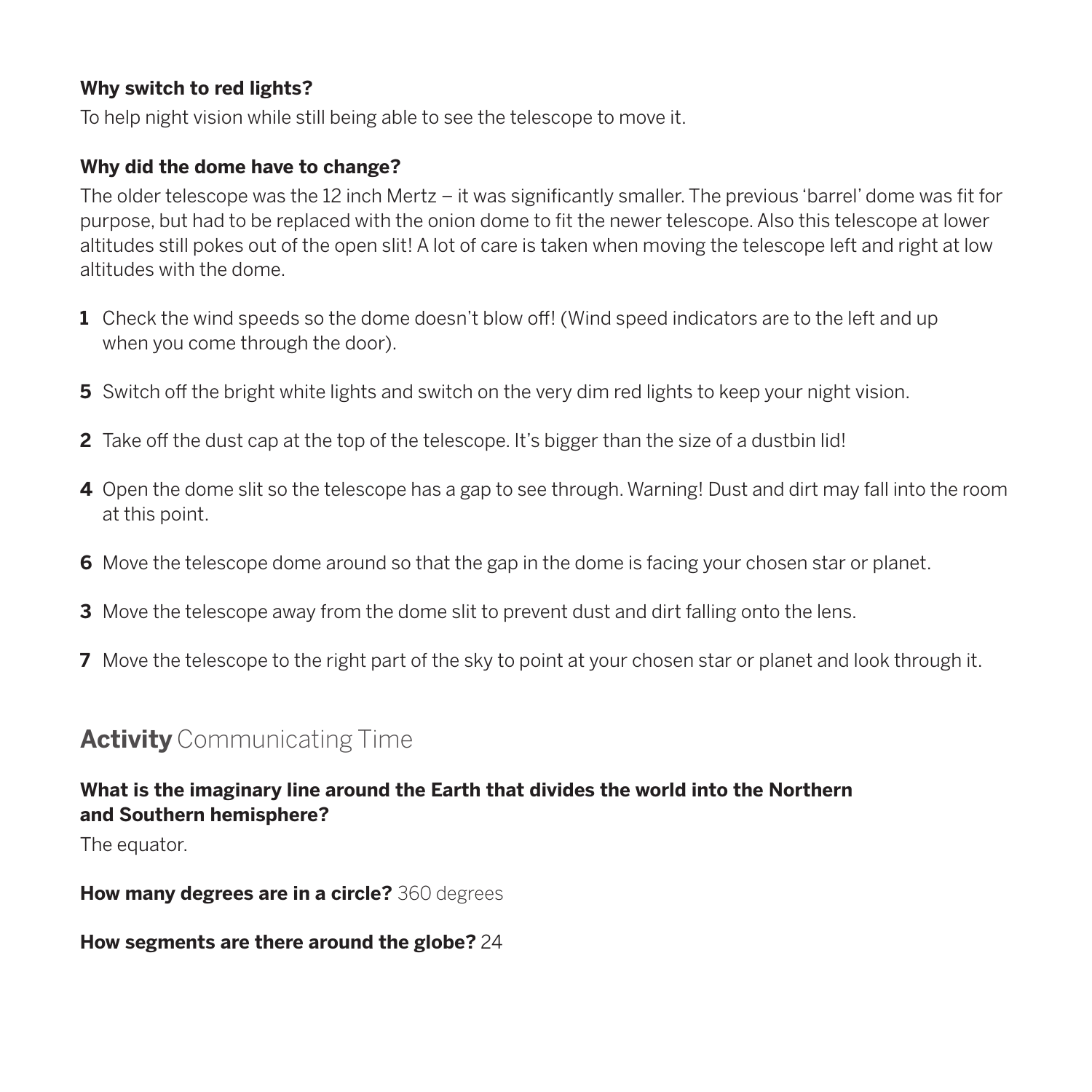#### **Why switch to red lights?**

To help night vision while still being able to see the telescope to move it.

#### **Why did the dome have to change?**

The older telescope was the 12 inch Mertz – it was significantly smaller. The previous 'barrel' dome was fit for purpose, but had to be replaced with the onion dome to fit the newer telescope. Also this telescope at lower altitudes still pokes out of the open slit! A lot of care is taken when moving the telescope left and right at low altitudes with the dome.

- **1** Check the wind speeds so the dome doesn't blow off! (Wind speed indicators are to the left and up when you come through the door).
- **5** Switch off the bright white lights and switch on the very dim red lights to keep your night vision.
- **2** Take off the dust cap at the top of the telescope. It's bigger than the size of a dustbin lid!
- **4** Open the dome slit so the telescope has a gap to see through. Warning! Dust and dirt may fall into the room at this point.
- **6** Move the telescope dome around so that the gap in the dome is facing your chosen star or planet.
- **3** Move the telescope away from the dome slit to prevent dust and dirt falling onto the lens.
- **7** Move the telescope to the right part of the sky to point at your chosen star or planet and look through it.

### **Activity** Communicating Time

#### **What is the imaginary line around the Earth that divides the world into the Northern and Southern hemisphere?**

The equator.

**How many degrees are in a circle?** 360 degrees

**How segments are there around the globe?** 24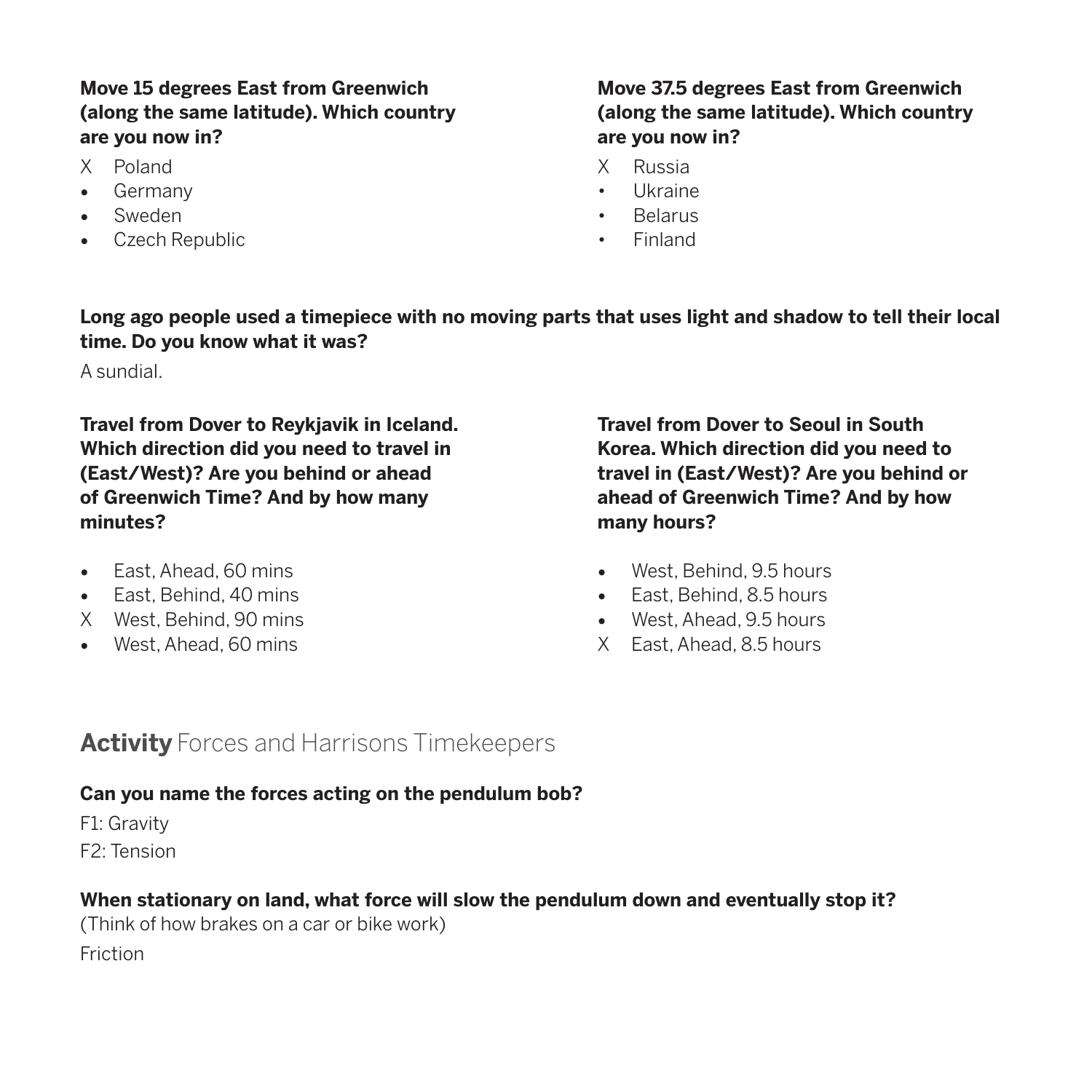#### **Move 15 degrees East from Greenwich (along the same latitude). Which country are you now in?**

- X Poland
- • Germany
- Sweden
- • Czech Republic

#### **Move 37.5 degrees East from Greenwich (along the same latitude). Which country are you now in?**

- X Russia
- • Ukraine
- • Belarus
- • Finland

**Long ago people used a timepiece with no moving parts that uses light and shadow to tell their local time. Do you know what it was?**

A sundial.

**Travel from Dover to Reykjavik in Iceland. Which direction did you need to travel in (East/West)? Are you behind or ahead of Greenwich Time? And by how many minutes?**

- East, Ahead, 60 mins
- Fast, Behind, 40 mins
- X West, Behind, 90 mins
- West, Ahead, 60 mins

**Travel from Dover to Seoul in South Korea. Which direction did you need to travel in (East/West)? Are you behind or ahead of Greenwich Time? And by how many hours?**

- • West, Behind, 9.5 hours
- • East, Behind, 8.5 hours
- West, Ahead, 9.5 hours
- X East, Ahead, 8.5 hours

### **Activity** Forces and Harrisons Timekeepers

#### **Can you name the forces acting on the pendulum bob?**

F1: Gravity

F2: Tension

#### **When stationary on land, what force will slow the pendulum down and eventually stop it?**

(Think of how brakes on a car or bike work) Friction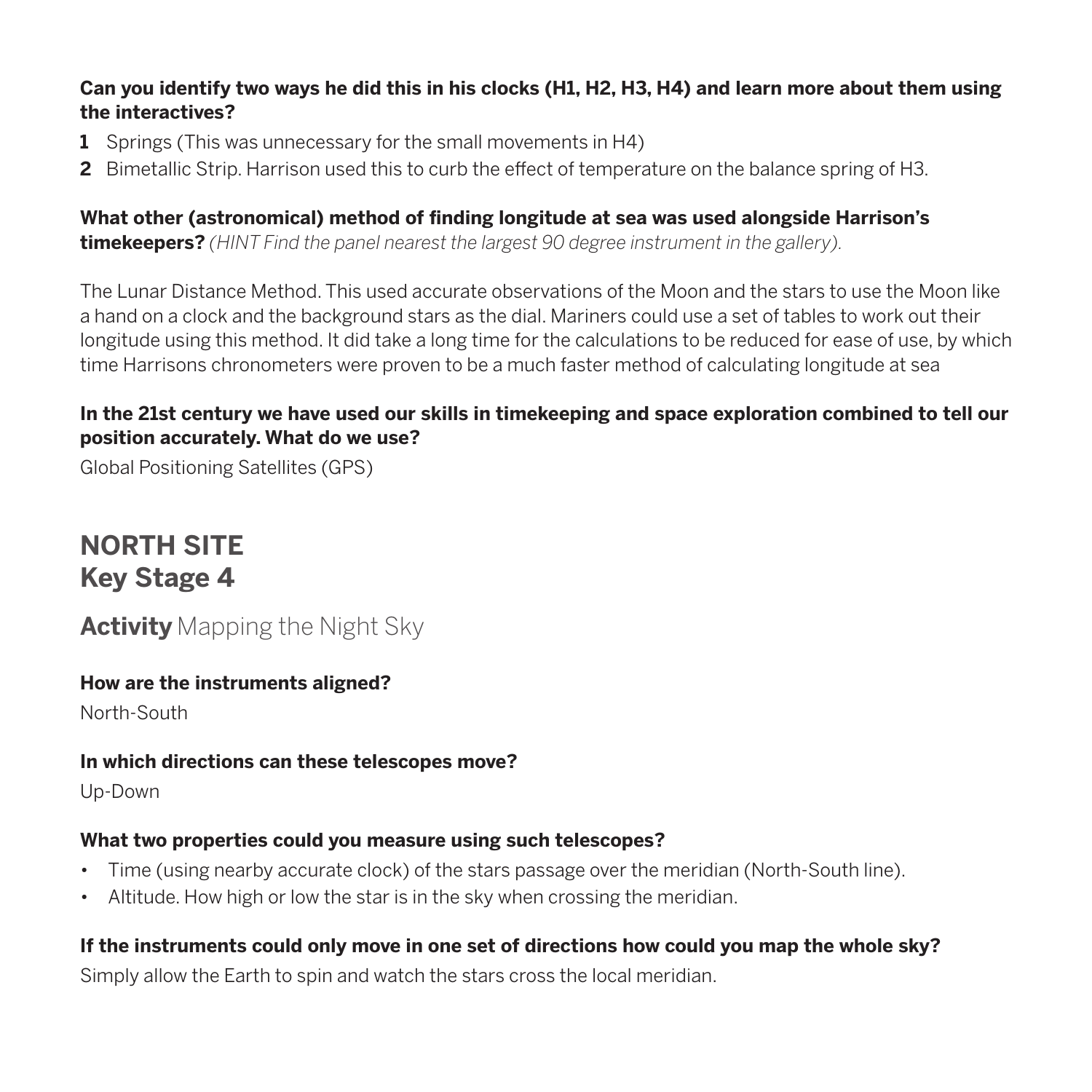#### **Can you identify two ways he did this in his clocks (H1, H2, H3, H4) and learn more about them using the interactives?**

- **1** Springs (This was unnecessary for the small movements in H4)
- **2** Bimetallic Strip. Harrison used this to curb the effect of temperature on the balance spring of H3.

**What other (astronomical) method of finding longitude at sea was used alongside Harrison's timekeepers?** *(HINT Find the panel nearest the largest 90 degree instrument in the gallery).*

The Lunar Distance Method. This used accurate observations of the Moon and the stars to use the Moon like a hand on a clock and the background stars as the dial. Mariners could use a set of tables to work out their longitude using this method. It did take a long time for the calculations to be reduced for ease of use, by which time Harrisons chronometers were proven to be a much faster method of calculating longitude at sea

#### **In the 21st century we have used our skills in timekeeping and space exploration combined to tell our position accurately. What do we use?**

Global Positioning Satellites (GPS)

# **NORTH SITE Key Stage 4**

# **Activity** Mapping the Night Sky

#### **How are the instruments aligned?**

North-South

#### **In which directions can these telescopes move?**

Up-Down

#### **What two properties could you measure using such telescopes?**

- Time (using nearby accurate clock) of the stars passage over the meridian (North-South line).
- • Altitude. How high or low the star is in the sky when crossing the meridian.

### **If the instruments could only move in one set of directions how could you map the whole sky?**

Simply allow the Earth to spin and watch the stars cross the local meridian.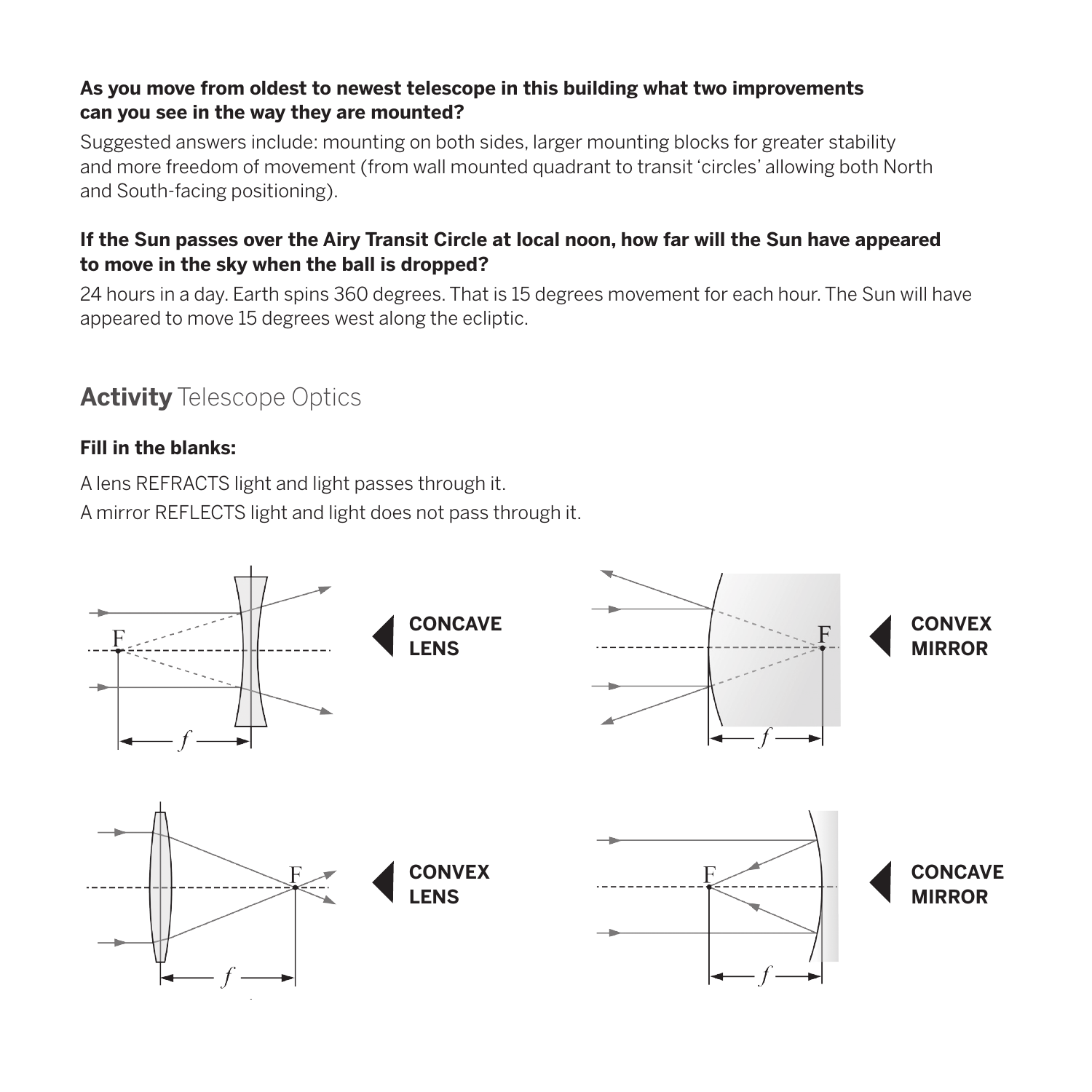#### **As you move from oldest to newest telescope in this building what two improvements can you see in the way they are mounted?**

Suggested answers include: mounting on both sides, larger mounting blocks for greater stability and more freedom of movement (from wall mounted quadrant to transit 'circles' allowing both North and South-facing positioning).

#### **If the Sun passes over the Airy Transit Circle at local noon, how far will the Sun have appeared to move in the sky when the ball is dropped?**

24 hours in a day. Earth spins 360 degrees. That is 15 degrees movement for each hour. The Sun will have appeared to move 15 degrees west along the ecliptic.

## **Activity** Telescope Optics

#### **Fill in the blanks:**

A lens REFRACTS light and light passes through it. A mirror REFLECTS light and light does not pass through it.